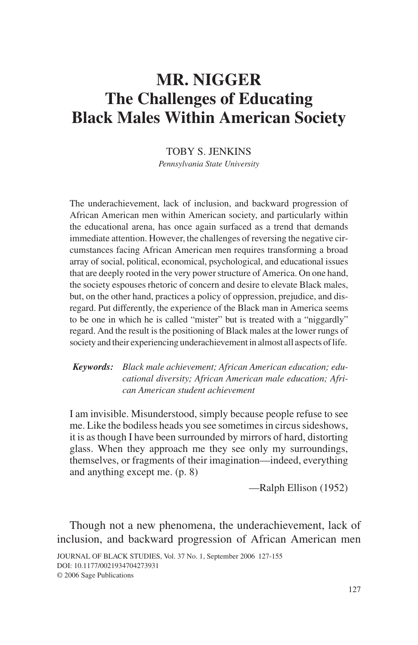# **MR. NIGGER The Challenges of Educating Black Males Within American Society**

TOBY S. JENKINS *Pennsylvania State University*

The underachievement, lack of inclusion, and backward progression of African American men within American society, and particularly within the educational arena, has once again surfaced as a trend that demands immediate attention. However, the challenges of reversing the negative circumstances facing African American men requires transforming a broad array of social, political, economical, psychological, and educational issues that are deeply rooted in the very power structure of America. On one hand, the society espouses rhetoric of concern and desire to elevate Black males, but, on the other hand, practices a policy of oppression, prejudice, and disregard. Put differently, the experience of the Black man in America seems to be one in which he is called "mister" but is treated with a "niggardly" regard. And the result is the positioning of Black males at the lower rungs of society and their experiencing underachievement in almost all aspects of life.

*Keywords: Black male achievement; African American education; educational diversity; African American male education; African American student achievement*

I am invisible. Misunderstood, simply because people refuse to see me. Like the bodiless heads you see sometimes in circus sideshows, it is as though I have been surrounded by mirrors of hard, distorting glass. When they approach me they see only my surroundings, themselves, or fragments of their imagination—indeed, everything and anything except me. (p. 8)

—Ralph Ellison (1952)

Though not a new phenomena, the underachievement, lack of inclusion, and backward progression of African American men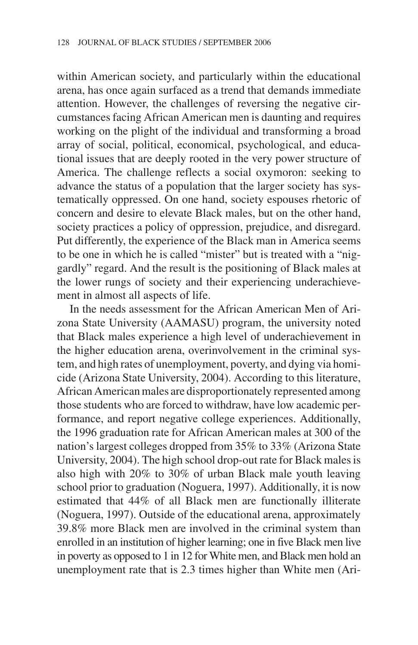within American society, and particularly within the educational arena, has once again surfaced as a trend that demands immediate attention. However, the challenges of reversing the negative circumstances facing African American men is daunting and requires working on the plight of the individual and transforming a broad array of social, political, economical, psychological, and educational issues that are deeply rooted in the very power structure of America. The challenge reflects a social oxymoron: seeking to advance the status of a population that the larger society has systematically oppressed. On one hand, society espouses rhetoric of concern and desire to elevate Black males, but on the other hand, society practices a policy of oppression, prejudice, and disregard. Put differently, the experience of the Black man in America seems to be one in which he is called "mister" but is treated with a "niggardly" regard. And the result is the positioning of Black males at the lower rungs of society and their experiencing underachievement in almost all aspects of life.

In the needs assessment for the African American Men of Arizona State University (AAMASU) program, the university noted that Black males experience a high level of underachievement in the higher education arena, overinvolvement in the criminal system, and high rates of unemployment, poverty, and dying via homicide (Arizona State University, 2004). According to this literature, African American males are disproportionately represented among those students who are forced to withdraw, have low academic performance, and report negative college experiences. Additionally, the 1996 graduation rate for African American males at 300 of the nation's largest colleges dropped from 35% to 33% (Arizona State University, 2004). The high school drop-out rate for Black males is also high with 20% to 30% of urban Black male youth leaving school prior to graduation (Noguera, 1997). Additionally, it is now estimated that 44% of all Black men are functionally illiterate (Noguera, 1997). Outside of the educational arena, approximately 39.8% more Black men are involved in the criminal system than enrolled in an institution of higher learning; one in five Black men live in poverty as opposed to 1 in 12 for White men, and Black men hold an unemployment rate that is 2.3 times higher than White men (Ari-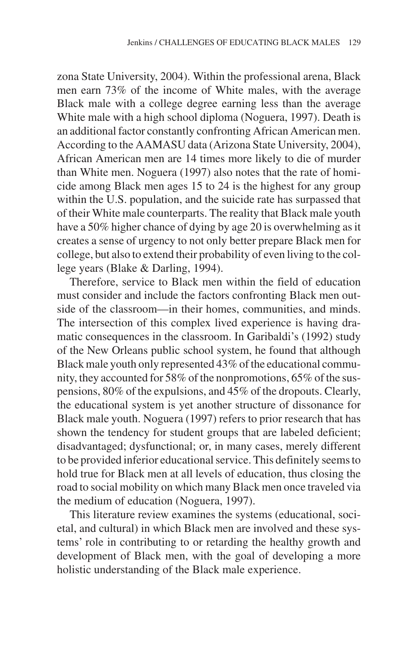zona State University, 2004). Within the professional arena, Black men earn 73% of the income of White males, with the average Black male with a college degree earning less than the average White male with a high school diploma (Noguera, 1997). Death is an additional factor constantly confronting African American men. According to the AAMASU data (Arizona State University, 2004), African American men are 14 times more likely to die of murder than White men. Noguera (1997) also notes that the rate of homicide among Black men ages 15 to 24 is the highest for any group within the U.S. population, and the suicide rate has surpassed that of their White male counterparts. The reality that Black male youth have a 50% higher chance of dying by age 20 is overwhelming as it creates a sense of urgency to not only better prepare Black men for college, but also to extend their probability of even living to the college years (Blake & Darling, 1994).

Therefore, service to Black men within the field of education must consider and include the factors confronting Black men outside of the classroom—in their homes, communities, and minds. The intersection of this complex lived experience is having dramatic consequences in the classroom. In Garibaldi's (1992) study of the New Orleans public school system, he found that although Black male youth only represented 43% of the educational community, they accounted for 58% of the nonpromotions, 65% of the suspensions, 80% of the expulsions, and 45% of the dropouts. Clearly, the educational system is yet another structure of dissonance for Black male youth. Noguera (1997) refers to prior research that has shown the tendency for student groups that are labeled deficient; disadvantaged; dysfunctional; or, in many cases, merely different to be provided inferior educational service. This definitely seems to hold true for Black men at all levels of education, thus closing the road to social mobility on which many Black men once traveled via the medium of education (Noguera, 1997).

This literature review examines the systems (educational, societal, and cultural) in which Black men are involved and these systems' role in contributing to or retarding the healthy growth and development of Black men, with the goal of developing a more holistic understanding of the Black male experience.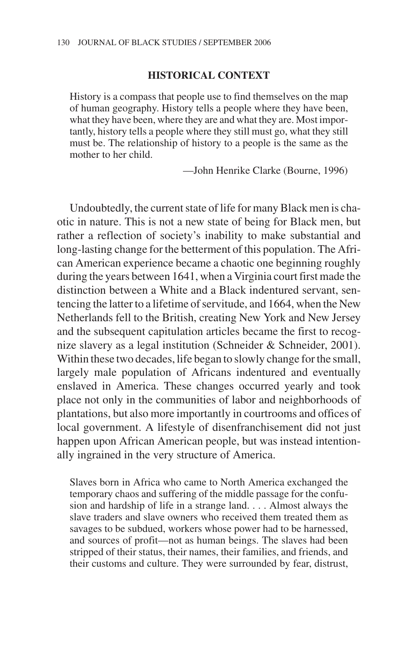#### **HISTORICAL CONTEXT**

History is a compass that people use to find themselves on the map of human geography. History tells a people where they have been, what they have been, where they are and what they are. Most importantly, history tells a people where they still must go, what they still must be. The relationship of history to a people is the same as the mother to her child.

—John Henrike Clarke (Bourne, 1996)

Undoubtedly, the current state of life for many Black men is chaotic in nature. This is not a new state of being for Black men, but rather a reflection of society's inability to make substantial and long-lasting change for the betterment of this population. The African American experience became a chaotic one beginning roughly during the years between 1641, when a Virginia court first made the distinction between a White and a Black indentured servant, sentencing the latter to a lifetime of servitude, and 1664, when the New Netherlands fell to the British, creating New York and New Jersey and the subsequent capitulation articles became the first to recognize slavery as a legal institution (Schneider & Schneider, 2001). Within these two decades, life began to slowly change for the small, largely male population of Africans indentured and eventually enslaved in America. These changes occurred yearly and took place not only in the communities of labor and neighborhoods of plantations, but also more importantly in courtrooms and offices of local government. A lifestyle of disenfranchisement did not just happen upon African American people, but was instead intentionally ingrained in the very structure of America.

Slaves born in Africa who came to North America exchanged the temporary chaos and suffering of the middle passage for the confusion and hardship of life in a strange land. . . . Almost always the slave traders and slave owners who received them treated them as savages to be subdued, workers whose power had to be harnessed, and sources of profit—not as human beings. The slaves had been stripped of their status, their names, their families, and friends, and their customs and culture. They were surrounded by fear, distrust,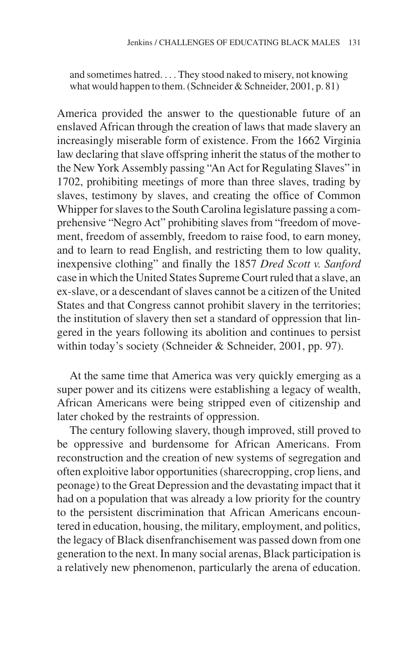and sometimes hatred. . . . They stood naked to misery, not knowing what would happen to them. (Schneider & Schneider, 2001, p. 81)

America provided the answer to the questionable future of an enslaved African through the creation of laws that made slavery an increasingly miserable form of existence. From the 1662 Virginia law declaring that slave offspring inherit the status of the mother to the New York Assembly passing "An Act for Regulating Slaves" in 1702, prohibiting meetings of more than three slaves, trading by slaves, testimony by slaves, and creating the office of Common Whipper for slaves to the South Carolina legislature passing a comprehensive "Negro Act" prohibiting slaves from "freedom of movement, freedom of assembly, freedom to raise food, to earn money, and to learn to read English, and restricting them to low quality, inexpensive clothing" and finally the 1857 *Dred Scott v. Sanford* case in which the United States Supreme Court ruled that a slave, an ex-slave, or a descendant of slaves cannot be a citizen of the United States and that Congress cannot prohibit slavery in the territories; the institution of slavery then set a standard of oppression that lingered in the years following its abolition and continues to persist within today's society (Schneider & Schneider, 2001, pp. 97).

At the same time that America was very quickly emerging as a super power and its citizens were establishing a legacy of wealth, African Americans were being stripped even of citizenship and later choked by the restraints of oppression.

The century following slavery, though improved, still proved to be oppressive and burdensome for African Americans. From reconstruction and the creation of new systems of segregation and often exploitive labor opportunities (sharecropping, crop liens, and peonage) to the Great Depression and the devastating impact that it had on a population that was already a low priority for the country to the persistent discrimination that African Americans encountered in education, housing, the military, employment, and politics, the legacy of Black disenfranchisement was passed down from one generation to the next. In many social arenas, Black participation is a relatively new phenomenon, particularly the arena of education.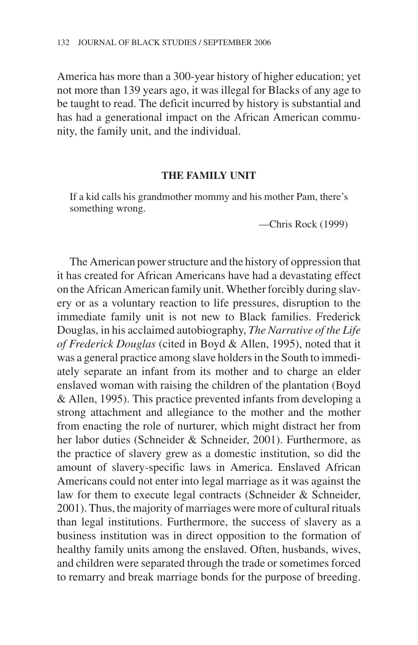America has more than a 300-year history of higher education; yet not more than 139 years ago, it was illegal for Blacks of any age to be taught to read. The deficit incurred by history is substantial and has had a generational impact on the African American community, the family unit, and the individual.

# **THE FAMILY UNIT**

If a kid calls his grandmother mommy and his mother Pam, there's something wrong.

—Chris Rock (1999)

The American power structure and the history of oppression that it has created for African Americans have had a devastating effect on the African American family unit. Whether forcibly during slavery or as a voluntary reaction to life pressures, disruption to the immediate family unit is not new to Black families. Frederick Douglas, in his acclaimed autobiography, *The Narrative of the Life of Frederick Douglas* (cited in Boyd & Allen, 1995), noted that it was a general practice among slave holders in the South to immediately separate an infant from its mother and to charge an elder enslaved woman with raising the children of the plantation (Boyd & Allen, 1995). This practice prevented infants from developing a strong attachment and allegiance to the mother and the mother from enacting the role of nurturer, which might distract her from her labor duties (Schneider & Schneider, 2001). Furthermore, as the practice of slavery grew as a domestic institution, so did the amount of slavery-specific laws in America. Enslaved African Americans could not enter into legal marriage as it was against the law for them to execute legal contracts (Schneider & Schneider, 2001). Thus, the majority of marriages were more of cultural rituals than legal institutions. Furthermore, the success of slavery as a business institution was in direct opposition to the formation of healthy family units among the enslaved. Often, husbands, wives, and children were separated through the trade or sometimes forced to remarry and break marriage bonds for the purpose of breeding.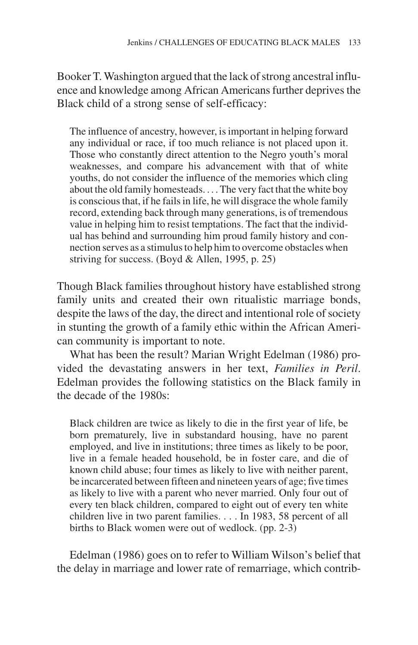Booker T. Washington argued that the lack of strong ancestral influence and knowledge among African Americans further deprives the Black child of a strong sense of self-efficacy:

The influence of ancestry, however, is important in helping forward any individual or race, if too much reliance is not placed upon it. Those who constantly direct attention to the Negro youth's moral weaknesses, and compare his advancement with that of white youths, do not consider the influence of the memories which cling about the old family homesteads. . . . The very fact that the white boy is conscious that, if he fails in life, he will disgrace the whole family record, extending back through many generations, is of tremendous value in helping him to resist temptations. The fact that the individual has behind and surrounding him proud family history and connection serves as a stimulus to help him to overcome obstacles when striving for success. (Boyd  $&$  Allen, 1995, p. 25)

Though Black families throughout history have established strong family units and created their own ritualistic marriage bonds, despite the laws of the day, the direct and intentional role of society in stunting the growth of a family ethic within the African American community is important to note.

What has been the result? Marian Wright Edelman (1986) provided the devastating answers in her text, *Families in Peril*. Edelman provides the following statistics on the Black family in the decade of the 1980s<sup>-</sup>

Black children are twice as likely to die in the first year of life, be born prematurely, live in substandard housing, have no parent employed, and live in institutions; three times as likely to be poor, live in a female headed household, be in foster care, and die of known child abuse; four times as likely to live with neither parent, be incarcerated between fifteen and nineteen years of age; five times as likely to live with a parent who never married. Only four out of every ten black children, compared to eight out of every ten white children live in two parent families. . . . In 1983, 58 percent of all births to Black women were out of wedlock. (pp. 2-3)

Edelman (1986) goes on to refer to William Wilson's belief that the delay in marriage and lower rate of remarriage, which contrib-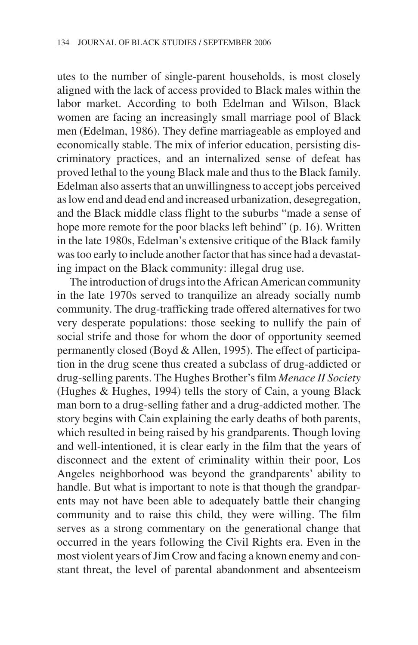utes to the number of single-parent households, is most closely aligned with the lack of access provided to Black males within the labor market. According to both Edelman and Wilson, Black women are facing an increasingly small marriage pool of Black men (Edelman, 1986). They define marriageable as employed and economically stable. The mix of inferior education, persisting discriminatory practices, and an internalized sense of defeat has proved lethal to the young Black male and thus to the Black family. Edelman also asserts that an unwillingness to accept jobs perceived as low end and dead end and increased urbanization, desegregation, and the Black middle class flight to the suburbs "made a sense of hope more remote for the poor blacks left behind" (p. 16). Written in the late 1980s, Edelman's extensive critique of the Black family was too early to include another factor that has since had a devastating impact on the Black community: illegal drug use.

The introduction of drugs into the African American community in the late 1970s served to tranquilize an already socially numb community. The drug-trafficking trade offered alternatives for two very desperate populations: those seeking to nullify the pain of social strife and those for whom the door of opportunity seemed permanently closed (Boyd & Allen, 1995). The effect of participation in the drug scene thus created a subclass of drug-addicted or drug-selling parents. The Hughes Brother's film *Menace II Society* (Hughes & Hughes, 1994) tells the story of Cain, a young Black man born to a drug-selling father and a drug-addicted mother. The story begins with Cain explaining the early deaths of both parents, which resulted in being raised by his grandparents. Though loving and well-intentioned, it is clear early in the film that the years of disconnect and the extent of criminality within their poor, Los Angeles neighborhood was beyond the grandparents' ability to handle. But what is important to note is that though the grandparents may not have been able to adequately battle their changing community and to raise this child, they were willing. The film serves as a strong commentary on the generational change that occurred in the years following the Civil Rights era. Even in the most violent years of Jim Crow and facing a known enemy and constant threat, the level of parental abandonment and absenteeism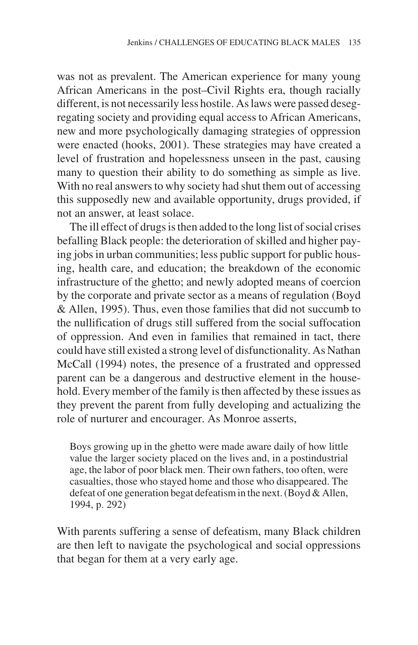was not as prevalent. The American experience for many young African Americans in the post–Civil Rights era, though racially different, is not necessarily less hostile. As laws were passed desegregating society and providing equal access to African Americans, new and more psychologically damaging strategies of oppression were enacted (hooks, 2001). These strategies may have created a level of frustration and hopelessness unseen in the past, causing many to question their ability to do something as simple as live. With no real answers to why society had shut them out of accessing this supposedly new and available opportunity, drugs provided, if not an answer, at least solace.

The ill effect of drugs is then added to the long list of social crises befalling Black people: the deterioration of skilled and higher paying jobs in urban communities; less public support for public housing, health care, and education; the breakdown of the economic infrastructure of the ghetto; and newly adopted means of coercion by the corporate and private sector as a means of regulation (Boyd & Allen, 1995). Thus, even those families that did not succumb to the nullification of drugs still suffered from the social suffocation of oppression. And even in families that remained in tact, there could have still existed a strong level of disfunctionality. As Nathan McCall (1994) notes, the presence of a frustrated and oppressed parent can be a dangerous and destructive element in the household. Every member of the family is then affected by these issues as they prevent the parent from fully developing and actualizing the role of nurturer and encourager. As Monroe asserts,

Boys growing up in the ghetto were made aware daily of how little value the larger society placed on the lives and, in a postindustrial age, the labor of poor black men. Their own fathers, too often, were casualties, those who stayed home and those who disappeared. The defeat of one generation begat defeatism in the next. (Boyd & Allen, 1994, p. 292)

With parents suffering a sense of defeatism, many Black children are then left to navigate the psychological and social oppressions that began for them at a very early age.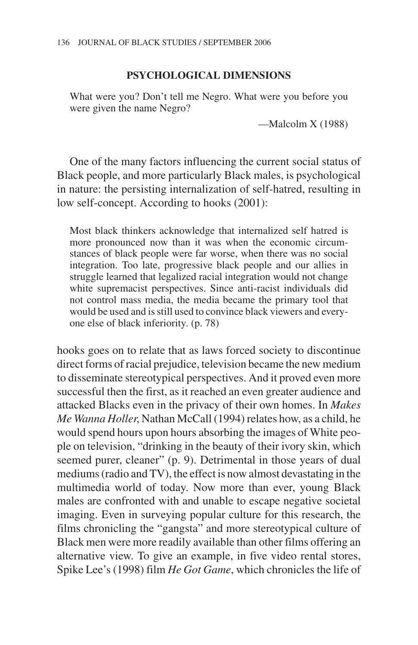## **PSYCHOLOGICAL DIMENSIONS**

What were you? Don't tell me Negro. What were you before you were given the name Negro?

—Malcolm X (1988)

One of the many factors influencing the current social status of Black people, and more particularly Black males, is psychological in nature: the persisting internalization of self-hatred, resulting in low self-concept. According to hooks (2001):

Most black thinkers acknowledge that internalized self hatred is more pronounced now than it was when the economic circumstances of black people were far worse, when there was no social integration. Too late, progressive black people and our allies in struggle learned that legalized racial integration would not change white supremacist perspectives. Since anti-racist individuals did not control mass media, the media became the primary tool that would be used and is still used to convince black viewers and everyone else of black inferiority. (p. 78)

hooks goes on to relate that as laws forced society to discontinue direct forms of racial prejudice, television became the new medium to disseminate stereotypical perspectives. And it proved even more successful then the first, as it reached an even greater audience and attacked Blacks even in the privacy of their own homes. In *Makes Me Wanna Holler*, Nathan McCall (1994) relates how, as a child, he would spend hours upon hours absorbing the images of White people on television, "drinking in the beauty of their ivory skin, which seemed purer, cleaner" (p. 9). Detrimental in those years of dual mediums (radio and TV), the effect is now almost devastating in the multimedia world of today. Now more than ever, young Black males are confronted with and unable to escape negative societal imaging. Even in surveying popular culture for this research, the films chronicling the "gangsta" and more stereotypical culture of Black men were more readily available than other films offering an alternative view. To give an example, in five video rental stores, Spike Lee's (1998) film *He Got Game*, which chronicles the life of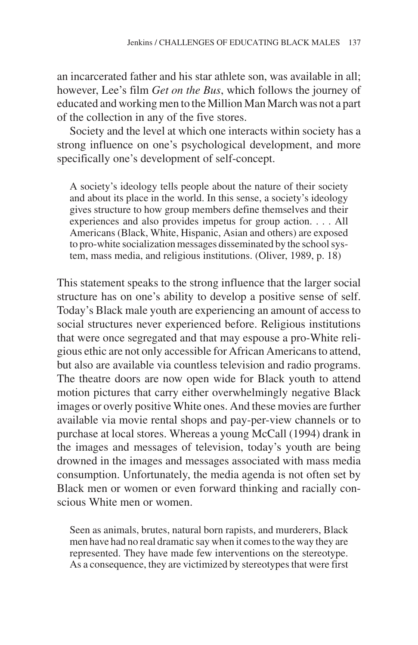an incarcerated father and his star athlete son, was available in all; however, Lee's film *Get on the Bus*, which follows the journey of educated and working men to the Million Man March was not a part of the collection in any of the five stores.

Society and the level at which one interacts within society has a strong influence on one's psychological development, and more specifically one's development of self-concept.

A society's ideology tells people about the nature of their society and about its place in the world. In this sense, a society's ideology gives structure to how group members define themselves and their experiences and also provides impetus for group action. . . . All Americans (Black, White, Hispanic, Asian and others) are exposed to pro-white socialization messages disseminated by the school system, mass media, and religious institutions. (Oliver, 1989, p. 18)

This statement speaks to the strong influence that the larger social structure has on one's ability to develop a positive sense of self. Today's Black male youth are experiencing an amount of access to social structures never experienced before. Religious institutions that were once segregated and that may espouse a pro-White religious ethic are not only accessible for African Americans to attend, but also are available via countless television and radio programs. The theatre doors are now open wide for Black youth to attend motion pictures that carry either overwhelmingly negative Black images or overly positive White ones. And these movies are further available via movie rental shops and pay-per-view channels or to purchase at local stores. Whereas a young McCall (1994) drank in the images and messages of television, today's youth are being drowned in the images and messages associated with mass media consumption. Unfortunately, the media agenda is not often set by Black men or women or even forward thinking and racially conscious White men or women.

Seen as animals, brutes, natural born rapists, and murderers, Black men have had no real dramatic say when it comes to the way they are represented. They have made few interventions on the stereotype. As a consequence, they are victimized by stereotypes that were first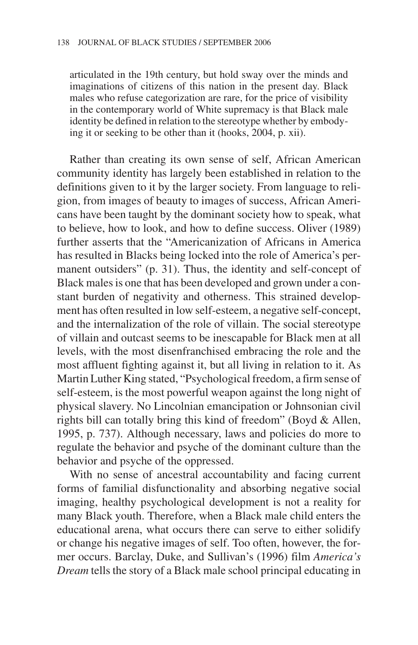articulated in the 19th century, but hold sway over the minds and imaginations of citizens of this nation in the present day. Black males who refuse categorization are rare, for the price of visibility in the contemporary world of White supremacy is that Black male identity be defined in relation to the stereotype whether by embodying it or seeking to be other than it (hooks, 2004, p. xii).

Rather than creating its own sense of self, African American community identity has largely been established in relation to the definitions given to it by the larger society. From language to religion, from images of beauty to images of success, African Americans have been taught by the dominant society how to speak, what to believe, how to look, and how to define success. Oliver (1989) further asserts that the "Americanization of Africans in America has resulted in Blacks being locked into the role of America's permanent outsiders" (p. 31). Thus, the identity and self-concept of Black males is one that has been developed and grown under a constant burden of negativity and otherness. This strained development has often resulted in low self-esteem, a negative self-concept, and the internalization of the role of villain. The social stereotype of villain and outcast seems to be inescapable for Black men at all levels, with the most disenfranchised embracing the role and the most affluent fighting against it, but all living in relation to it. As Martin Luther King stated, "Psychological freedom, a firm sense of self-esteem, is the most powerful weapon against the long night of physical slavery. No Lincolnian emancipation or Johnsonian civil rights bill can totally bring this kind of freedom" (Boyd & Allen, 1995, p. 737). Although necessary, laws and policies do more to regulate the behavior and psyche of the dominant culture than the behavior and psyche of the oppressed.

With no sense of ancestral accountability and facing current forms of familial disfunctionality and absorbing negative social imaging, healthy psychological development is not a reality for many Black youth. Therefore, when a Black male child enters the educational arena, what occurs there can serve to either solidify or change his negative images of self. Too often, however, the former occurs. Barclay, Duke, and Sullivan's (1996) film *America's Dream* tells the story of a Black male school principal educating in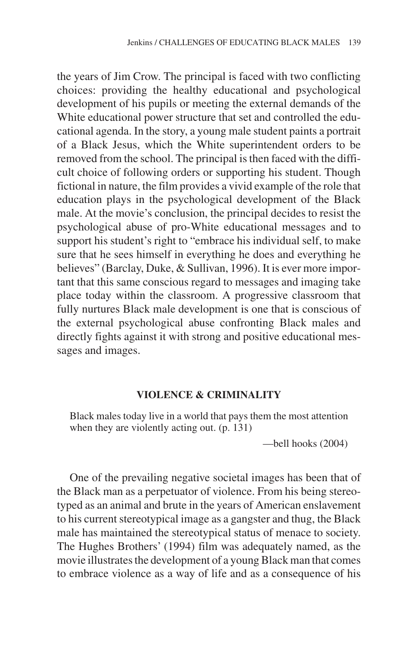the years of Jim Crow. The principal is faced with two conflicting choices: providing the healthy educational and psychological development of his pupils or meeting the external demands of the White educational power structure that set and controlled the educational agenda. In the story, a young male student paints a portrait of a Black Jesus, which the White superintendent orders to be removed from the school. The principal is then faced with the difficult choice of following orders or supporting his student. Though fictional in nature, the film provides a vivid example of the role that education plays in the psychological development of the Black male. At the movie's conclusion, the principal decides to resist the psychological abuse of pro-White educational messages and to support his student's right to "embrace his individual self, to make sure that he sees himself in everything he does and everything he believes" (Barclay, Duke, & Sullivan, 1996). It is ever more important that this same conscious regard to messages and imaging take place today within the classroom. A progressive classroom that fully nurtures Black male development is one that is conscious of the external psychological abuse confronting Black males and directly fights against it with strong and positive educational messages and images.

## **VIOLENCE & CRIMINALITY**

Black males today live in a world that pays them the most attention when they are violently acting out. (p. 131)

—bell hooks (2004)

One of the prevailing negative societal images has been that of the Black man as a perpetuator of violence. From his being stereotyped as an animal and brute in the years of American enslavement to his current stereotypical image as a gangster and thug, the Black male has maintained the stereotypical status of menace to society. The Hughes Brothers' (1994) film was adequately named, as the movie illustrates the development of a young Black man that comes to embrace violence as a way of life and as a consequence of his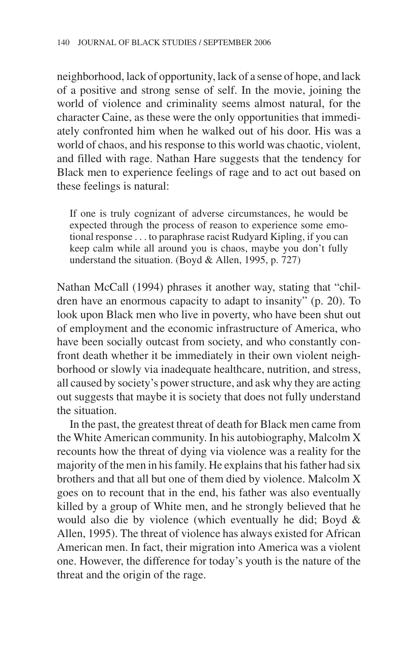neighborhood, lack of opportunity, lack of a sense of hope, and lack of a positive and strong sense of self. In the movie, joining the world of violence and criminality seems almost natural, for the character Caine, as these were the only opportunities that immediately confronted him when he walked out of his door. His was a world of chaos, and his response to this world was chaotic, violent, and filled with rage. Nathan Hare suggests that the tendency for Black men to experience feelings of rage and to act out based on these feelings is natural:

If one is truly cognizant of adverse circumstances, he would be expected through the process of reason to experience some emotional response . . . to paraphrase racist Rudyard Kipling, if you can keep calm while all around you is chaos, maybe you don't fully understand the situation. (Boyd & Allen, 1995, p. 727)

Nathan McCall (1994) phrases it another way, stating that "children have an enormous capacity to adapt to insanity" (p. 20). To look upon Black men who live in poverty, who have been shut out of employment and the economic infrastructure of America, who have been socially outcast from society, and who constantly confront death whether it be immediately in their own violent neighborhood or slowly via inadequate healthcare, nutrition, and stress, all caused by society's power structure, and ask why they are acting out suggests that maybe it is society that does not fully understand the situation.

In the past, the greatest threat of death for Black men came from the White American community. In his autobiography, Malcolm X recounts how the threat of dying via violence was a reality for the majority of the men in his family. He explains that his father had six brothers and that all but one of them died by violence. Malcolm X goes on to recount that in the end, his father was also eventually killed by a group of White men, and he strongly believed that he would also die by violence (which eventually he did; Boyd & Allen, 1995). The threat of violence has always existed for African American men. In fact, their migration into America was a violent one. However, the difference for today's youth is the nature of the threat and the origin of the rage.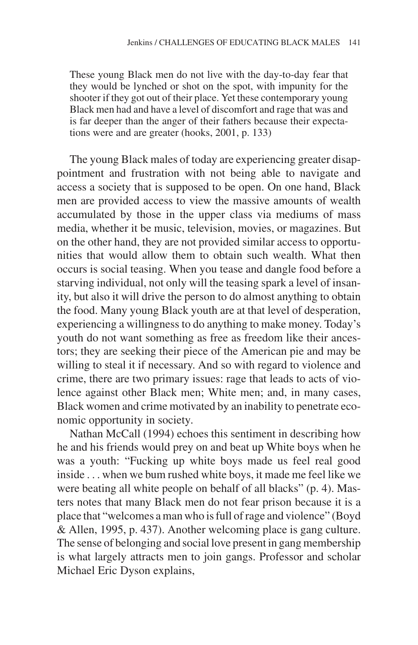These young Black men do not live with the day-to-day fear that they would be lynched or shot on the spot, with impunity for the shooter if they got out of their place. Yet these contemporary young Black men had and have a level of discomfort and rage that was and is far deeper than the anger of their fathers because their expectations were and are greater (hooks, 2001, p. 133)

The young Black males of today are experiencing greater disappointment and frustration with not being able to navigate and access a society that is supposed to be open. On one hand, Black men are provided access to view the massive amounts of wealth accumulated by those in the upper class via mediums of mass media, whether it be music, television, movies, or magazines. But on the other hand, they are not provided similar access to opportunities that would allow them to obtain such wealth. What then occurs is social teasing. When you tease and dangle food before a starving individual, not only will the teasing spark a level of insanity, but also it will drive the person to do almost anything to obtain the food. Many young Black youth are at that level of desperation, experiencing a willingness to do anything to make money. Today's youth do not want something as free as freedom like their ancestors; they are seeking their piece of the American pie and may be willing to steal it if necessary. And so with regard to violence and crime, there are two primary issues: rage that leads to acts of violence against other Black men; White men; and, in many cases, Black women and crime motivated by an inability to penetrate economic opportunity in society.

Nathan McCall (1994) echoes this sentiment in describing how he and his friends would prey on and beat up White boys when he was a youth: "Fucking up white boys made us feel real good inside . . . when we bum rushed white boys, it made me feel like we were beating all white people on behalf of all blacks" (p. 4). Masters notes that many Black men do not fear prison because it is a place that "welcomes a man who is full of rage and violence" (Boyd & Allen, 1995, p. 437). Another welcoming place is gang culture. The sense of belonging and social love present in gang membership is what largely attracts men to join gangs. Professor and scholar Michael Eric Dyson explains,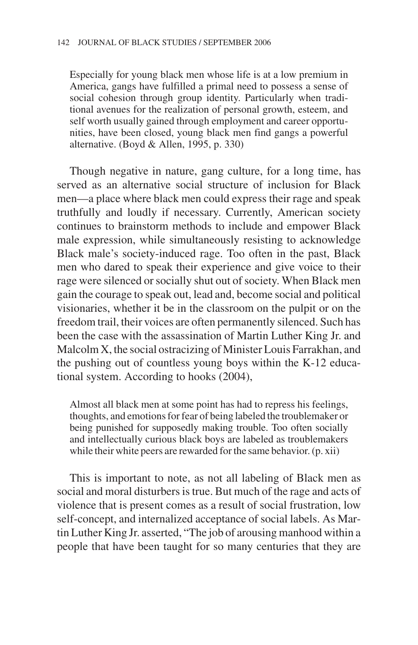Especially for young black men whose life is at a low premium in America, gangs have fulfilled a primal need to possess a sense of social cohesion through group identity. Particularly when traditional avenues for the realization of personal growth, esteem, and self worth usually gained through employment and career opportunities, have been closed, young black men find gangs a powerful alternative. (Boyd & Allen, 1995, p. 330)

Though negative in nature, gang culture, for a long time, has served as an alternative social structure of inclusion for Black men—a place where black men could express their rage and speak truthfully and loudly if necessary. Currently, American society continues to brainstorm methods to include and empower Black male expression, while simultaneously resisting to acknowledge Black male's society-induced rage. Too often in the past, Black men who dared to speak their experience and give voice to their rage were silenced or socially shut out of society. When Black men gain the courage to speak out, lead and, become social and political visionaries, whether it be in the classroom on the pulpit or on the freedom trail, their voices are often permanently silenced. Such has been the case with the assassination of Martin Luther King Jr. and Malcolm X, the social ostracizing of Minister Louis Farrakhan, and the pushing out of countless young boys within the K-12 educational system. According to hooks (2004),

Almost all black men at some point has had to repress his feelings, thoughts, and emotions for fear of being labeled the troublemaker or being punished for supposedly making trouble. Too often socially and intellectually curious black boys are labeled as troublemakers while their white peers are rewarded for the same behavior. (p. xii)

This is important to note, as not all labeling of Black men as social and moral disturbers is true. But much of the rage and acts of violence that is present comes as a result of social frustration, low self-concept, and internalized acceptance of social labels. As Martin Luther King Jr. asserted, "The job of arousing manhood within a people that have been taught for so many centuries that they are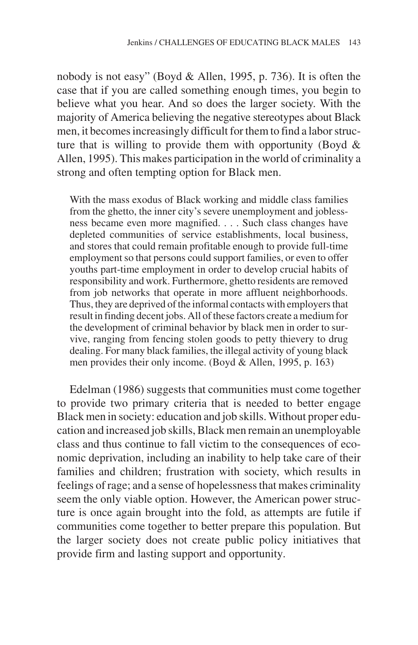nobody is not easy" (Boyd & Allen, 1995, p. 736). It is often the case that if you are called something enough times, you begin to believe what you hear. And so does the larger society. With the majority of America believing the negative stereotypes about Black men, it becomes increasingly difficult for them to find a labor structure that is willing to provide them with opportunity (Boyd  $\&$ Allen, 1995). This makes participation in the world of criminality a strong and often tempting option for Black men.

With the mass exodus of Black working and middle class families from the ghetto, the inner city's severe unemployment and joblessness became even more magnified. . . . Such class changes have depleted communities of service establishments, local business, and stores that could remain profitable enough to provide full-time employment so that persons could support families, or even to offer youths part-time employment in order to develop crucial habits of responsibility and work. Furthermore, ghetto residents are removed from job networks that operate in more affluent neighborhoods. Thus, they are deprived of the informal contacts with employers that result in finding decent jobs. All of these factors create a medium for the development of criminal behavior by black men in order to survive, ranging from fencing stolen goods to petty thievery to drug dealing. For many black families, the illegal activity of young black men provides their only income. (Boyd & Allen, 1995, p. 163)

Edelman (1986) suggests that communities must come together to provide two primary criteria that is needed to better engage Black men in society: education and job skills. Without proper education and increased job skills, Black men remain an unemployable class and thus continue to fall victim to the consequences of economic deprivation, including an inability to help take care of their families and children; frustration with society, which results in feelings of rage; and a sense of hopelessness that makes criminality seem the only viable option. However, the American power structure is once again brought into the fold, as attempts are futile if communities come together to better prepare this population. But the larger society does not create public policy initiatives that provide firm and lasting support and opportunity.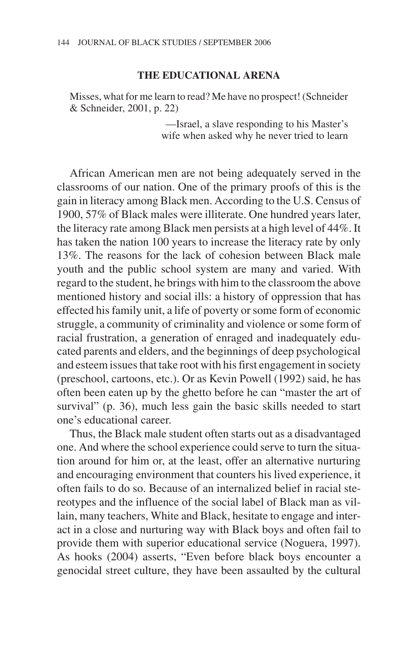#### **THE EDUCATIONAL ARENA**

Misses, what for me learn to read? Me have no prospect! (Schneider & Schneider, 2001, p. 22)

> —Israel, a slave responding to his Master's wife when asked why he never tried to learn

African American men are not being adequately served in the classrooms of our nation. One of the primary proofs of this is the gain in literacy among Black men. According to the U.S. Census of 1900, 57% of Black males were illiterate. One hundred years later, the literacy rate among Black men persists at a high level of 44%. It has taken the nation 100 years to increase the literacy rate by only 13%. The reasons for the lack of cohesion between Black male youth and the public school system are many and varied. With regard to the student, he brings with him to the classroom the above mentioned history and social ills: a history of oppression that has effected his family unit, a life of poverty or some form of economic struggle, a community of criminality and violence or some form of racial frustration, a generation of enraged and inadequately educated parents and elders, and the beginnings of deep psychological and esteem issues that take root with his first engagement in society (preschool, cartoons, etc.). Or as Kevin Powell (1992) said, he has often been eaten up by the ghetto before he can "master the art of survival" (p. 36), much less gain the basic skills needed to start one's educational career.

Thus, the Black male student often starts out as a disadvantaged one. And where the school experience could serve to turn the situation around for him or, at the least, offer an alternative nurturing and encouraging environment that counters his lived experience, it often fails to do so. Because of an internalized belief in racial stereotypes and the influence of the social label of Black man as villain, many teachers, White and Black, hesitate to engage and interact in a close and nurturing way with Black boys and often fail to provide them with superior educational service (Noguera, 1997). As hooks (2004) asserts, "Even before black boys encounter a genocidal street culture, they have been assaulted by the cultural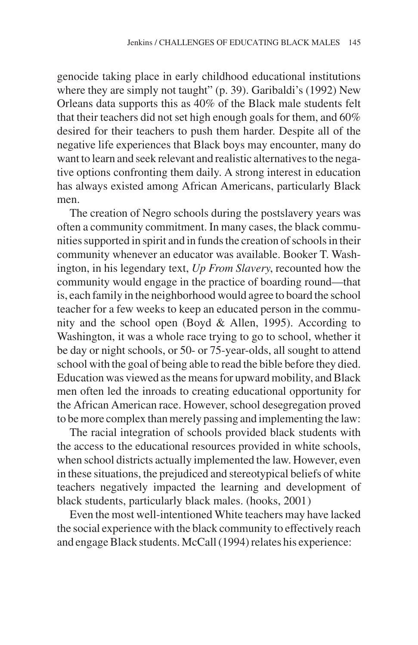genocide taking place in early childhood educational institutions where they are simply not taught" (p. 39). Garibaldi's (1992) New Orleans data supports this as 40% of the Black male students felt that their teachers did not set high enough goals for them, and 60% desired for their teachers to push them harder. Despite all of the negative life experiences that Black boys may encounter, many do want to learn and seek relevant and realistic alternatives to the negative options confronting them daily. A strong interest in education has always existed among African Americans, particularly Black men.

The creation of Negro schools during the postslavery years was often a community commitment. In many cases, the black communities supported in spirit and in funds the creation of schools in their community whenever an educator was available. Booker T. Washington, in his legendary text, *Up From Slavery*, recounted how the community would engage in the practice of boarding round—that is, each family in the neighborhood would agree to board the school teacher for a few weeks to keep an educated person in the community and the school open (Boyd & Allen, 1995). According to Washington, it was a whole race trying to go to school, whether it be day or night schools, or 50- or 75-year-olds, all sought to attend school with the goal of being able to read the bible before they died. Education was viewed as the means for upward mobility, and Black men often led the inroads to creating educational opportunity for the African American race. However, school desegregation proved to be more complex than merely passing and implementing the law:

The racial integration of schools provided black students with the access to the educational resources provided in white schools, when school districts actually implemented the law. However, even in these situations, the prejudiced and stereotypical beliefs of white teachers negatively impacted the learning and development of black students, particularly black males. (hooks, 2001)

Even the most well-intentioned White teachers may have lacked the social experience with the black community to effectively reach and engage Black students. McCall (1994) relates his experience: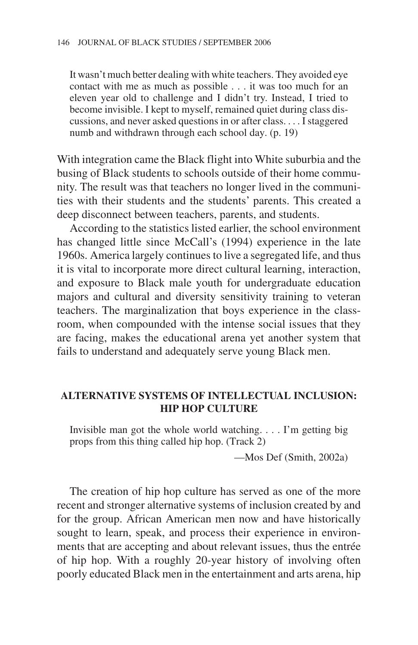It wasn't much better dealing with white teachers. They avoided eye contact with me as much as possible . . . it was too much for an eleven year old to challenge and I didn't try. Instead, I tried to become invisible. I kept to myself, remained quiet during class discussions, and never asked questions in or after class. . . . I staggered numb and withdrawn through each school day. (p. 19)

With integration came the Black flight into White suburbia and the busing of Black students to schools outside of their home community. The result was that teachers no longer lived in the communities with their students and the students' parents. This created a deep disconnect between teachers, parents, and students.

According to the statistics listed earlier, the school environment has changed little since McCall's (1994) experience in the late 1960s. America largely continues to live a segregated life, and thus it is vital to incorporate more direct cultural learning, interaction, and exposure to Black male youth for undergraduate education majors and cultural and diversity sensitivity training to veteran teachers. The marginalization that boys experience in the classroom, when compounded with the intense social issues that they are facing, makes the educational arena yet another system that fails to understand and adequately serve young Black men.

# **ALTERNATIVE SYSTEMS OF INTELLECTUAL INCLUSION: HIP HOP CULTURE**

Invisible man got the whole world watching. . . . I'm getting big props from this thing called hip hop. (Track 2)

—Mos Def (Smith, 2002a)

The creation of hip hop culture has served as one of the more recent and stronger alternative systems of inclusion created by and for the group. African American men now and have historically sought to learn, speak, and process their experience in environments that are accepting and about relevant issues, thus the entrée of hip hop. With a roughly 20-year history of involving often poorly educated Black men in the entertainment and arts arena, hip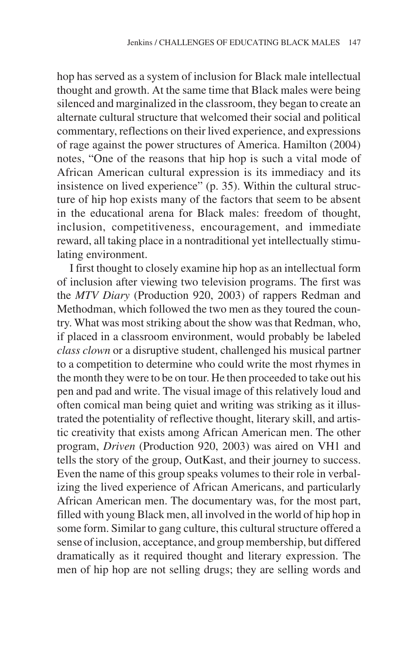hop has served as a system of inclusion for Black male intellectual thought and growth. At the same time that Black males were being silenced and marginalized in the classroom, they began to create an alternate cultural structure that welcomed their social and political commentary, reflections on their lived experience, and expressions of rage against the power structures of America. Hamilton (2004) notes, "One of the reasons that hip hop is such a vital mode of African American cultural expression is its immediacy and its insistence on lived experience" (p. 35). Within the cultural structure of hip hop exists many of the factors that seem to be absent in the educational arena for Black males: freedom of thought, inclusion, competitiveness, encouragement, and immediate reward, all taking place in a nontraditional yet intellectually stimulating environment.

I first thought to closely examine hip hop as an intellectual form of inclusion after viewing two television programs. The first was the *MTV Diary* (Production 920, 2003) of rappers Redman and Methodman, which followed the two men as they toured the country. What was most striking about the show was that Redman, who, if placed in a classroom environment, would probably be labeled *class clown* or a disruptive student, challenged his musical partner to a competition to determine who could write the most rhymes in the month they were to be on tour. He then proceeded to take out his pen and pad and write. The visual image of this relatively loud and often comical man being quiet and writing was striking as it illustrated the potentiality of reflective thought, literary skill, and artistic creativity that exists among African American men. The other program, *Driven* (Production 920, 2003) was aired on VH1 and tells the story of the group, OutKast, and their journey to success. Even the name of this group speaks volumes to their role in verbalizing the lived experience of African Americans, and particularly African American men. The documentary was, for the most part, filled with young Black men, all involved in the world of hip hop in some form. Similar to gang culture, this cultural structure offered a sense of inclusion, acceptance, and group membership, but differed dramatically as it required thought and literary expression. The men of hip hop are not selling drugs; they are selling words and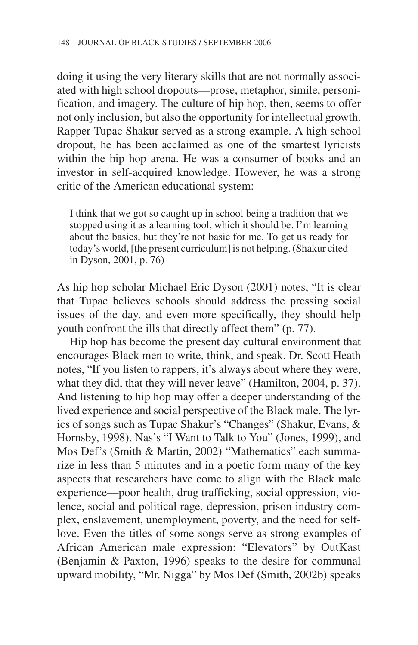doing it using the very literary skills that are not normally associated with high school dropouts—prose, metaphor, simile, personification, and imagery. The culture of hip hop, then, seems to offer not only inclusion, but also the opportunity for intellectual growth. Rapper Tupac Shakur served as a strong example. A high school dropout, he has been acclaimed as one of the smartest lyricists within the hip hop arena. He was a consumer of books and an investor in self-acquired knowledge. However, he was a strong critic of the American educational system:

I think that we got so caught up in school being a tradition that we stopped using it as a learning tool, which it should be. I'm learning about the basics, but they're not basic for me. To get us ready for today's world, [the present curriculum] is not helping. (Shakur cited in Dyson, 2001, p. 76)

As hip hop scholar Michael Eric Dyson (2001) notes, "It is clear that Tupac believes schools should address the pressing social issues of the day, and even more specifically, they should help youth confront the ills that directly affect them" (p. 77).

Hip hop has become the present day cultural environment that encourages Black men to write, think, and speak. Dr. Scott Heath notes, "If you listen to rappers, it's always about where they were, what they did, that they will never leave" (Hamilton, 2004, p. 37). And listening to hip hop may offer a deeper understanding of the lived experience and social perspective of the Black male. The lyrics of songs such as Tupac Shakur's "Changes" (Shakur, Evans, & Hornsby, 1998), Nas's "I Want to Talk to You" (Jones, 1999), and Mos Def's (Smith & Martin, 2002) "Mathematics" each summarize in less than 5 minutes and in a poetic form many of the key aspects that researchers have come to align with the Black male experience—poor health, drug trafficking, social oppression, violence, social and political rage, depression, prison industry complex, enslavement, unemployment, poverty, and the need for selflove. Even the titles of some songs serve as strong examples of African American male expression: "Elevators" by OutKast (Benjamin & Paxton, 1996) speaks to the desire for communal upward mobility, "Mr. Nigga" by Mos Def (Smith, 2002b) speaks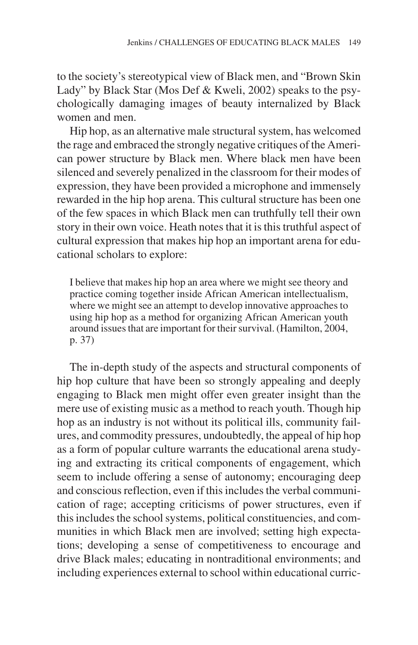to the society's stereotypical view of Black men, and "Brown Skin Lady" by Black Star (Mos Def & Kweli, 2002) speaks to the psychologically damaging images of beauty internalized by Black women and men.

Hip hop, as an alternative male structural system, has welcomed the rage and embraced the strongly negative critiques of the American power structure by Black men. Where black men have been silenced and severely penalized in the classroom for their modes of expression, they have been provided a microphone and immensely rewarded in the hip hop arena. This cultural structure has been one of the few spaces in which Black men can truthfully tell their own story in their own voice. Heath notes that it is this truthful aspect of cultural expression that makes hip hop an important arena for educational scholars to explore:

I believe that makes hip hop an area where we might see theory and practice coming together inside African American intellectualism, where we might see an attempt to develop innovative approaches to using hip hop as a method for organizing African American youth around issues that are important for their survival. (Hamilton, 2004, p. 37)

The in-depth study of the aspects and structural components of hip hop culture that have been so strongly appealing and deeply engaging to Black men might offer even greater insight than the mere use of existing music as a method to reach youth. Though hip hop as an industry is not without its political ills, community failures, and commodity pressures, undoubtedly, the appeal of hip hop as a form of popular culture warrants the educational arena studying and extracting its critical components of engagement, which seem to include offering a sense of autonomy; encouraging deep and conscious reflection, even if this includes the verbal communication of rage; accepting criticisms of power structures, even if this includes the school systems, political constituencies, and communities in which Black men are involved; setting high expectations; developing a sense of competitiveness to encourage and drive Black males; educating in nontraditional environments; and including experiences external to school within educational curric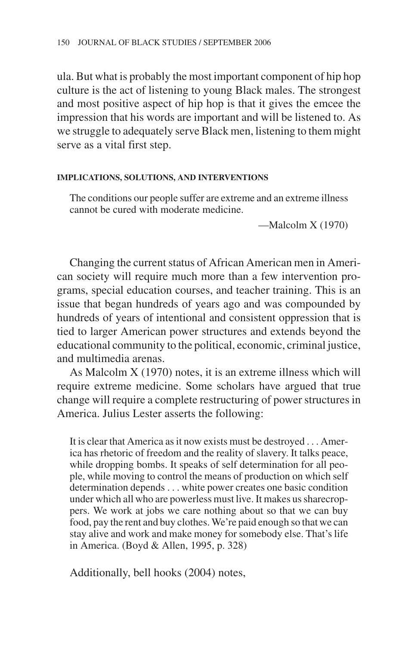ula. But what is probably the most important component of hip hop culture is the act of listening to young Black males. The strongest and most positive aspect of hip hop is that it gives the emcee the impression that his words are important and will be listened to. As we struggle to adequately serve Black men, listening to them might serve as a vital first step.

#### **IMPLICATIONS, SOLUTIONS, AND INTERVENTIONS**

The conditions our people suffer are extreme and an extreme illness cannot be cured with moderate medicine.

—Malcolm X (1970)

Changing the current status of African American men in American society will require much more than a few intervention programs, special education courses, and teacher training. This is an issue that began hundreds of years ago and was compounded by hundreds of years of intentional and consistent oppression that is tied to larger American power structures and extends beyond the educational community to the political, economic, criminal justice, and multimedia arenas.

As Malcolm X (1970) notes, it is an extreme illness which will require extreme medicine. Some scholars have argued that true change will require a complete restructuring of power structures in America. Julius Lester asserts the following:

It is clear that America as it now exists must be destroyed . . . America has rhetoric of freedom and the reality of slavery. It talks peace, while dropping bombs. It speaks of self determination for all people, while moving to control the means of production on which self determination depends . . . white power creates one basic condition under which all who are powerless must live. It makes us sharecroppers. We work at jobs we care nothing about so that we can buy food, pay the rent and buy clothes. We're paid enough so that we can stay alive and work and make money for somebody else. That's life in America. (Boyd & Allen, 1995, p. 328)

Additionally, bell hooks (2004) notes,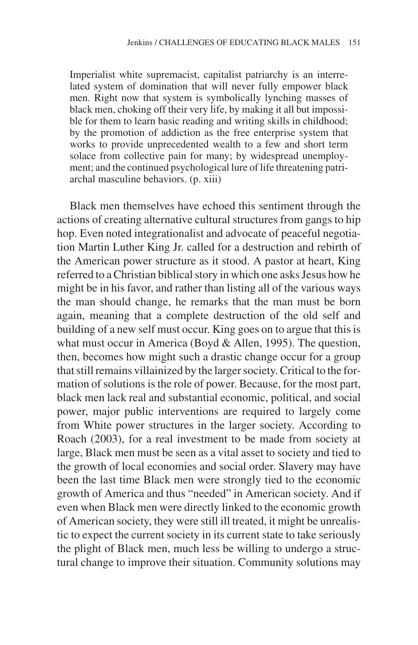Imperialist white supremacist, capitalist patriarchy is an interrelated system of domination that will never fully empower black men. Right now that system is symbolically lynching masses of black men, choking off their very life, by making it all but impossible for them to learn basic reading and writing skills in childhood; by the promotion of addiction as the free enterprise system that works to provide unprecedented wealth to a few and short term solace from collective pain for many; by widespread unemployment; and the continued psychological lure of life threatening patriarchal masculine behaviors. (p. xiii)

Black men themselves have echoed this sentiment through the actions of creating alternative cultural structures from gangs to hip hop. Even noted integrationalist and advocate of peaceful negotiation Martin Luther King Jr. called for a destruction and rebirth of the American power structure as it stood. A pastor at heart, King referred to a Christian biblical story in which one asks Jesus how he might be in his favor, and rather than listing all of the various ways the man should change, he remarks that the man must be born again, meaning that a complete destruction of the old self and building of a new self must occur. King goes on to argue that this is what must occur in America (Boyd & Allen, 1995). The question, then, becomes how might such a drastic change occur for a group that still remains villainized by the larger society. Critical to the formation of solutions is the role of power. Because, for the most part, black men lack real and substantial economic, political, and social power, major public interventions are required to largely come from White power structures in the larger society. According to Roach (2003), for a real investment to be made from society at large, Black men must be seen as a vital asset to society and tied to the growth of local economies and social order. Slavery may have been the last time Black men were strongly tied to the economic growth of America and thus "needed" in American society. And if even when Black men were directly linked to the economic growth of American society, they were still ill treated, it might be unrealistic to expect the current society in its current state to take seriously the plight of Black men, much less be willing to undergo a structural change to improve their situation. Community solutions may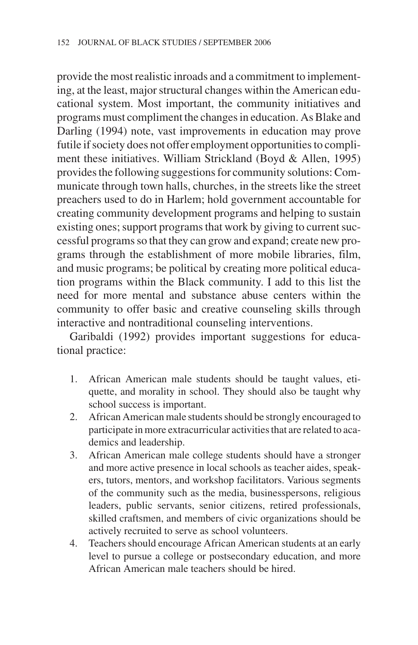provide the most realistic inroads and a commitment to implementing, at the least, major structural changes within the American educational system. Most important, the community initiatives and programs must compliment the changes in education. As Blake and Darling (1994) note, vast improvements in education may prove futile if society does not offer employment opportunities to compliment these initiatives. William Strickland (Boyd & Allen, 1995) provides the following suggestions for community solutions: Communicate through town halls, churches, in the streets like the street preachers used to do in Harlem; hold government accountable for creating community development programs and helping to sustain existing ones; support programs that work by giving to current successful programs so that they can grow and expand; create new programs through the establishment of more mobile libraries, film, and music programs; be political by creating more political education programs within the Black community. I add to this list the need for more mental and substance abuse centers within the community to offer basic and creative counseling skills through interactive and nontraditional counseling interventions.

Garibaldi (1992) provides important suggestions for educational practice:

- 1. African American male students should be taught values, etiquette, and morality in school. They should also be taught why school success is important.
- 2. African American male students should be strongly encouraged to participate in more extracurricular activities that are related to academics and leadership.
- 3. African American male college students should have a stronger and more active presence in local schools as teacher aides, speakers, tutors, mentors, and workshop facilitators. Various segments of the community such as the media, businesspersons, religious leaders, public servants, senior citizens, retired professionals, skilled craftsmen, and members of civic organizations should be actively recruited to serve as school volunteers.
- 4. Teachers should encourage African American students at an early level to pursue a college or postsecondary education, and more African American male teachers should be hired.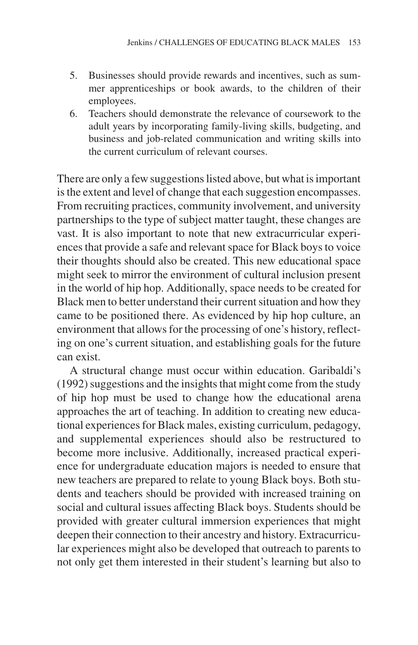- 5. Businesses should provide rewards and incentives, such as summer apprenticeships or book awards, to the children of their employees.
- 6. Teachers should demonstrate the relevance of coursework to the adult years by incorporating family-living skills, budgeting, and business and job-related communication and writing skills into the current curriculum of relevant courses.

There are only a few suggestions listed above, but what is important is the extent and level of change that each suggestion encompasses. From recruiting practices, community involvement, and university partnerships to the type of subject matter taught, these changes are vast. It is also important to note that new extracurricular experiences that provide a safe and relevant space for Black boys to voice their thoughts should also be created. This new educational space might seek to mirror the environment of cultural inclusion present in the world of hip hop. Additionally, space needs to be created for Black men to better understand their current situation and how they came to be positioned there. As evidenced by hip hop culture, an environment that allows for the processing of one's history, reflecting on one's current situation, and establishing goals for the future can exist.

A structural change must occur within education. Garibaldi's (1992) suggestions and the insights that might come from the study of hip hop must be used to change how the educational arena approaches the art of teaching. In addition to creating new educational experiences for Black males, existing curriculum, pedagogy, and supplemental experiences should also be restructured to become more inclusive. Additionally, increased practical experience for undergraduate education majors is needed to ensure that new teachers are prepared to relate to young Black boys. Both students and teachers should be provided with increased training on social and cultural issues affecting Black boys. Students should be provided with greater cultural immersion experiences that might deepen their connection to their ancestry and history. Extracurricular experiences might also be developed that outreach to parents to not only get them interested in their student's learning but also to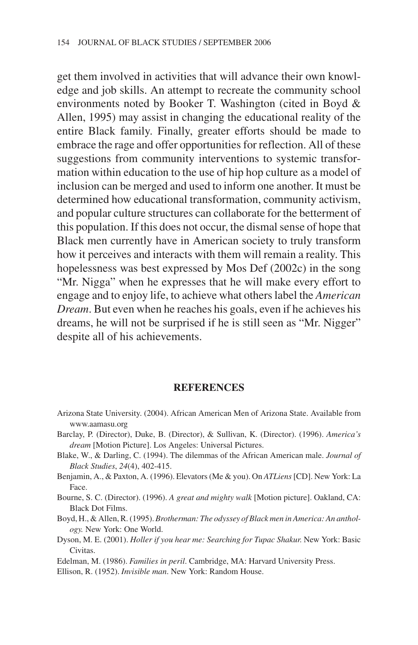get them involved in activities that will advance their own knowledge and job skills. An attempt to recreate the community school environments noted by Booker T. Washington (cited in Boyd & Allen, 1995) may assist in changing the educational reality of the entire Black family. Finally, greater efforts should be made to embrace the rage and offer opportunities for reflection. All of these suggestions from community interventions to systemic transformation within education to the use of hip hop culture as a model of inclusion can be merged and used to inform one another. It must be determined how educational transformation, community activism, and popular culture structures can collaborate for the betterment of this population. If this does not occur, the dismal sense of hope that Black men currently have in American society to truly transform how it perceives and interacts with them will remain a reality. This hopelessness was best expressed by Mos Def (2002c) in the song "Mr. Nigga" when he expresses that he will make every effort to engage and to enjoy life, to achieve what others label the *American Dream*. But even when he reaches his goals, even if he achieves his dreams, he will not be surprised if he is still seen as "Mr. Nigger" despite all of his achievements.

#### **REFERENCES**

- Arizona State University. (2004). African American Men of Arizona State. Available from www.aamasu.org
- Barclay, P. (Director), Duke, B. (Director), & Sullivan, K. (Director). (1996). *America's dream* [Motion Picture]. Los Angeles: Universal Pictures.
- Blake, W., & Darling, C. (1994). The dilemmas of the African American male. *Journal of Black Studies*, *24*(4), 402-415.
- Benjamin, A., & Paxton, A. (1996). Elevators (Me & you). On *ATLiens*[CD]. New York: La Face.
- Bourne, S. C. (Director). (1996). *A great and mighty walk* [Motion picture]. Oakland, CA: Black Dot Films.
- Boyd, H., & Allen, R. (1995).*Brotherman: The odyssey of Black men in America: An anthology.* New York: One World.
- Dyson, M. E. (2001). *Holler if you hear me: Searching for Tupac Shakur*. New York: Basic Civitas.
- Edelman, M. (1986). *Families in peril*. Cambridge, MA: Harvard University Press.
- Ellison, R. (1952). *Invisible man*. New York: Random House.